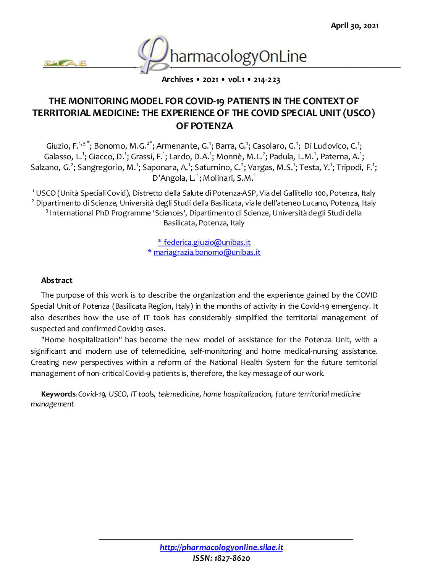

**Archives • 2021 • vol.1 • 214-223**

# **THE MONITORING MODEL FOR COVID-19 PATIENTS IN THE CONTEXT OF TERRITORIAL MEDICINE: THE EXPERIENCE OF THE COVID SPECIAL UNIT (USCO) OF POTENZA**

Giuzio, F.<sup>1,3</sup>\*; Bonomo, M.G.<sup>2\*</sup>; Armenante, G.<sup>1</sup>; Barra, G.<sup>1</sup>; Casolaro, G.<sup>1</sup>; Di Ludovico, C.<sup>1</sup>; Galasso, L.<sup>1</sup>; Giacco, D.<sup>1</sup>; Grassi, F.<sup>1</sup>; Lardo, D.A.<sup>1</sup>; Monnè, M.L.<sup>2</sup>; Padula, L.M.<sup>1</sup>, Paterna, A.<sup>1</sup>; Salzano, G.<sup>2</sup>; Sangregorio, M.<sup>1</sup>; Saponara, A.<sup>1</sup>; Saturnino, C.<sup>2</sup>; Vargas, M.S.<sup>1</sup>; Testa, Y.<sup>1</sup>; Tripodi, F.<sup>1</sup>; D'Angola, L.<sup>1</sup>; Molinari, S.M.<sup>1</sup>

 USCO (Unità Speciali Covid), Distretto della Salute di Potenza-ASP, Via del Gallitello 100, Potenza, Italy Dipartimento di Scienze, Università degli Studi della Basilicata, viale dell'ateneo Lucano, Potenza, Italy International PhD Programme 'Sciences', Dipartimento di Scienze, Università degli Studi della Basilicata, Potenza, Italy

> \* [federica.giuzio@unibas.it](mailto:federica.giuzio@unibas.it) \* [mariagrazia.bonomo@unibas.it](mailto:mariagrazia.bonomo@unibas.it)

#### **Abstract**

The purpose of this work is to describe the organization and the experience gained by the COVID Special Unit of Potenza (Basilicata Region, Italy) in the months of activity in the Covid-19 emergency. It also describes how the use of IT tools has considerably simplified the territorial management of suspected and confirmed Covid19 cases.

"Home hospitalization" has become the new model of assistance for the Potenza Unit, with a significant and modern use of telemedicine, self-monitoring and home medical-nursing assistance. Creating new perspectives within a reform of the National Health System for the future territorial management of non-critical Covid-9 patients is, therefore, the key message of our work.

**Keywords**: *Covid-19, USCO, IT tools, telemedicine, home hospitalization, future territorial medicine management*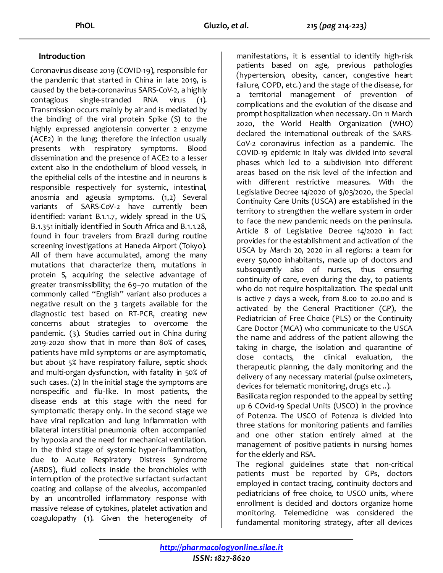## **Introduction**

Coronavirus disease 2019 (COVID-19), responsible for the pandemic that started in China in late 2019, is caused by the beta-coronavirus SARS-CoV-2, a highly contagious single-stranded RNA virus (1). Transmission occurs mainly by air and is mediated by the binding of the viral protein Spike (S) to the highly expressed angiotensin converter 2 enzyme (ACE2) in the lung; therefore the infection usually presents with respiratory symptoms. Blood dissemination and the presence of ACE2 to a lesser extent also in the endothelium of blood vessels, in the epithelial cells of the intestine and in neurons is responsible respectively for systemic, intestinal, anosmia and ageusia symptoms. (1,2) Several variants of SARS-CoV-2 have currently been identified: variant B.1.1.7, widely spread in the US, B.1.351 initially identified in South Africa and B.1.1.28, found in four travelers from Brazil during routine screening investigations at Haneda Airport (Tokyo). All of them have accumulated, among the many mutations that characterize them, mutations in protein S, acquiring the selective advantage of greater transmissibility; the 69–70 mutation of the commonly called "English" variant also produces a negative result on the 3 targets available for the diagnostic test based on RT-PCR, creating new concerns about strategies to overcome the pandemic. (3). Studies carried out in China during 2019-2020 show that in more than 80% of cases, patients have mild symptoms or are asymptomatic, but about 5% have respiratory failure, septic shock and multi-organ dysfunction, with fatality in 50% of such cases. (2) In the initial stage the symptoms are nonspecific and flu-like. In most patients, the disease ends at this stage with the need for symptomatic therapy only. In the second stage we have viral replication and lung inflammation with bilateral interstitial pneumonia often accompanied by hypoxia and the need for mechanical ventilation. In the third stage of systemic hyper-inflammation, due to Acute Respiratory Distress Syndrome (ARDS), fluid collects inside the bronchioles with interruption of the protective surfactant surfactant coating and collapse of the alveolus, accompanied by an uncontrolled inflammatory response with massive release of cytokines, platelet activation and coagulopathy (1). Given the heterogeneity of manifestations, it is essential to identify high-risk patients based on age, previous pathologies (hypertension, obesity, cancer, congestive heart failure, COPD, etc.) and the stage of the disease, for a territorial management of prevention of complications and the evolution of the disease and prompt hospitalization when necessary. On 11 March 2020, the World Health Organization (WHO) declared the international outbreak of the SARS-CoV-2 coronavirus infection as a pandemic. The COVID-19 epidemic in Italy was divided into several phases which led to a subdivision into different areas based on the risk level of the infection and with different restrictive measures. With the Legislative Decree 14/2020 of 9/03/2020, the Special Continuity Care Units (USCA) are established in the territory to strengthen the welfare system in order to face the new pandemic needs on the peninsula. Article 8 of Legislative Decree 14/2020 in fact provides for the establishment and activation of the USCA by March 20, 2020 in all regions: a team for every 50,000 inhabitants, made up of doctors and subsequently also of nurses, thus ensuring continuity of care, even during the day, to patients who do not require hospitalization. The special unit is active 7 days a week, from 8.00 to 20.00 and is activated by the General Practitioner (GP), the Pediatrician of Free Choice (PLS) or the Continuity Care Doctor (MCA) who communicate to the USCA the name and address of the patient allowing the taking in charge, the isolation and quarantine of close contacts, the clinical evaluation, the therapeutic planning, the daily monitoring and the delivery of any necessary material (pulse oximeters, devices for telematic monitoring, drugs etc ..).

Basilicata region responded to the appeal by setting up 6 COvid-19 Special Units (USCO) in the province of Potenza. The USCO of Potenza is divided into three stations for monitoring patients and families and one other station entirely aimed at the management of positive patients in nursing homes for the elderly and RSA.

The regional guidelines state that non-critical patients must be reported by GPs, doctors employed in contact tracing, continuity doctors and pediatricians of free choice, to USCO units, where enrollment is decided and doctors organize home monitoring. Telemedicine was considered the fundamental monitoring strategy, after all devices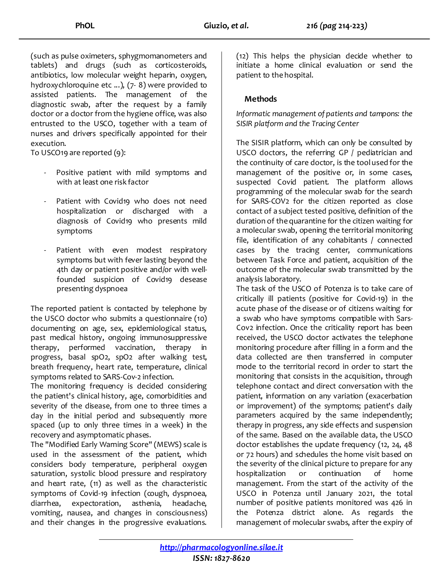(such as pulse oximeters, sphygmomanometers and tablets) and drugs (such as corticosteroids, antibiotics, low molecular weight heparin, oxygen, hydroxychloroquine etc ...), (7- 8) were provided to assisted patients. The management of the diagnostic swab, after the request by a family doctor or a doctor from the hygiene office, was also entrusted to the USCO, together with a team of nurses and drivers specifically appointed for their execution.

To USCO19 are reported (9):

- Positive patient with mild symptoms and with at least one risk factor
- Patient with Covid19 who does not need hospitalization or discharged with a diagnosis of Covid19 who presents mild symptoms
- Patient with even modest respiratory symptoms but with fever lasting beyond the 4th day or patient positive and/or with wellfounded suspicion of Covid19 desease presenting dyspnoea

The reported patient is contacted by telephone by the USCO doctor who submits a questionnaire (10) documenting on age, sex, epidemiological status, past medical history, ongoing immunosuppressive therapy, performed vaccination, therapy in progress, basal spO2, spO2 after walking test, breath frequency, heart rate, temperature, clinical symptoms related to SARS-Cov-2 infection.

The monitoring frequency is decided considering the patient's clinical history, age, comorbidities and severity of the disease, from one to three times a day in the initial period and subsequently more spaced (up to only three times in a week) in the recovery and asymptomatic phases.

The "Modified Early Warning Score" (MEWS) scale is used in the assessment of the patient, which considers body temperature, peripheral oxygen saturation, systolic blood pressure and respiratory and heart rate, (11) as well as the characteristic symptoms of Covid-19 infection (cough, dyspnoea, diarrhea, expectoration, asthenia, headache, vomiting, nausea, and changes in consciousness) and their changes in the progressive evaluations.

(12) This helps the physician decide whether to initiate a home clinical evaluation or send the patient to the hospital.

# **Methods**

*Informatic management of patients and tampons: the SISIR platform and the Tracing Center*

The SISIR platform, which can only be consulted by USCO doctors, the referring GP / pediatrician and the continuity of care doctor, is the tool used for the management of the positive or, in some cases, suspected Covid patient. The platform allows programming of the molecular swab for the search for SARS-COV2 for the citizen reported as close contact of a subject tested positive, definition of the duration of the quarantine for the citizen waiting for a molecular swab, opening the territorial monitoring file, identification of any cohabitants / connected cases by the tracing center, communications between Task Force and patient, acquisition of the outcome of the molecular swab transmitted by the analysis laboratory.

The task of the USCO of Potenza is to take care of critically ill patients (positive for Covid-19) in the acute phase of the disease or of citizens waiting for a swab who have symptoms compatible with Sars-Cov2 infection. Once the criticality report has been received, the USCO doctor activates the telephone monitoring procedure after filling in a form and the data collected are then transferred in computer mode to the territorial record in order to start the monitoring that consists in the acquisition, through telephone contact and direct conversation with the patient, information on any variation (exacerbation or improvement) of the symptoms; patient's daily parameters acquired by the same independently; therapy in progress, any side effects and suspension of the same. Based on the available data, the USCO doctor establishes the update frequency (12, 24, 48 or 72 hours) and schedules the home visit based on the severity of the clinical picture to prepare for any hospitalization or continuation of home management. From the start of the activity of the USCO in Potenza until January 2021, the total number of positive patients monitored was 426 in the Potenza district alone. As regards the management of molecular swabs, after the expiry of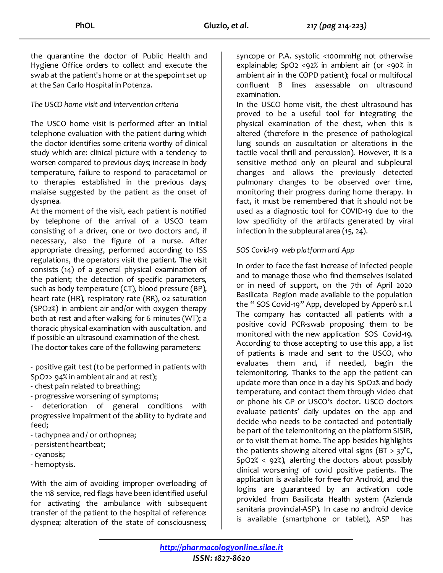the quarantine the doctor of Public Health and Hygiene Office orders to collect and execute the swab at the patient's home or at the spepoint set up at the San Carlo Hospital in Potenza.

#### *The USCO home visit and intervention criteria*

The USCO home visit is performed after an initial telephone evaluation with the patient during which the doctor identifies some criteria worthy of clinical study which are: clinical picture with a tendency to worsen compared to previous days; increase in body temperature, failure to respond to paracetamol or to therapies established in the previous days; malaise suggested by the patient as the onset of dyspnea.

At the moment of the visit, each patient is notified by telephone of the arrival of a USCO team consisting of a driver, one or two doctors and, if necessary, also the figure of a nurse. After appropriate dressing, performed according to ISS regulations, the operators visit the patient. The visit consists (14) of a general physical examination of the patient; the detection of specific parameters, such as body temperature (CT), blood pressure (BP), heart rate (HR), respiratory rate (RR), 02 saturation (SPO2%) in ambient air and/or with oxygen therapy both at rest and after walking for 6 minutes (WT); a thoracic physical examination with auscultation. and if possible an ultrasound examination of the chest. The doctor takes care of the following parameters:

- positive gait test (to be performed in patients with SpO2> 94% in ambient air and at rest);

- chest pain related to breathing;

- progressive worsening of symptoms;

- deterioration of general conditions with progressive impairment of the ability to hydrate and feed;

- tachypnea and / or orthopnea;
- persistent heartbeat;
- cyanosis;
- hemoptysis.

With the aim of avoiding improper overloading of the 118 service, red flags have been identified useful for activating the ambulance with subsequent transfer of the patient to the hospital of reference: dyspnea; alteration of the state of consciousness; syncope or P.A. systolic <100mmHg not otherwise explainable; SpO2 <92% in ambient air (or <90% in ambient air in the COPD patient); focal or multifocal confluent B lines assessable on ultrasound examination.

In the USCO home visit, the chest ultrasound has proved to be a useful tool for integrating the physical examination of the chest, when this is altered (therefore in the presence of pathological lung sounds on auscultation or alterations in the tactile vocal thrill and percussion). However, it is a sensitive method only on pleural and subpleural changes and allows the previously detected pulmonary changes to be observed over time, monitoring their progress during home therapy. In fact, it must be remembered that it should not be used as a diagnostic tool for COVID-19 due to the low specificity of the artifacts generated by viral infection in the subpleural area (15, 24).

## *SOS Covid-19 web platform and App*

In order to face the fast increase of infected people and to manage those who find themselves isolated or in need of support, on the 7th of April 2020 Basilicata Region made available to the population the " SOS Covid-19" App, developed by Apperò s.r.l. The company has contacted all patients with a positive covid PCR-swab proposing them to be monitored with the new application SOS Covid-19. According to those accepting to use this app, a list of patients is made and sent to the USCO, who evaluates them and, if needed, begin the telemonitoring. Thanks to the app the patient can update more than once in a day his SpO2% and body temperature, and contact them through video chat or phone his GP or USCO's doctor. USCO doctors evaluate patients' daily updates on the app and decide who needs to be contacted and potentially be part of the telemonitoring on the platform SISIR, or to visit them at home. The app besides highlights the patients showing altered vital signs (BT >  $37^{\circ}$ C,  $SpO2\% < 92\%)$ , alerting the doctors about possibly clinical worsening of covid positive patients. The application is available for free for Android, and the logins are guaranteed by an activation code provided from Basilicata Health system (Azienda sanitaria provincial-ASP). In case no android device is available (smartphone or tablet), ASP has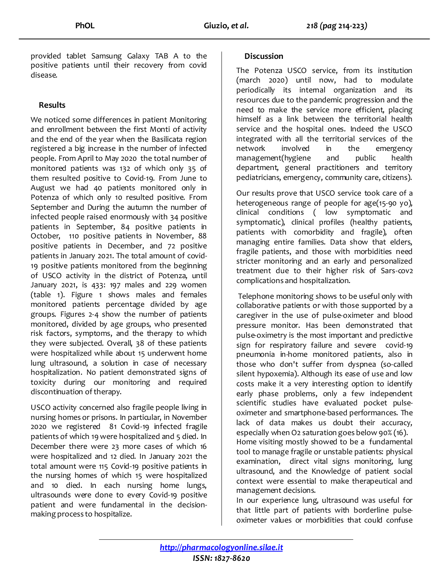provided tablet Samsung Galaxy TAB A to the positive patients until their recovery from covid disease.

# **Results**

We noticed some differences in patient Monitoring and enrollment between the first Monti of activity and the end of the year when the Basilicata region registered a big increase in the number of infected people. From April to May 2020 the total number of monitored patients was 132 of which only 35 of them resulted positive to Covid-19. From June to August we had 40 patients monitored only in Potenza of which only 10 resulted positive. From September and During the autumn the number of infected people raised enormously with 34 positive patients in September, 84 positive patients in October, 110 positive patients in November, 88 positive patients in December, and 72 positive patients in January 2021. The total amount of covid-19 positive patients monitored from the beginning of USCO activity in the district of Potenza, until January 2021, is 433: 197 males and 229 women (table 1). Figure 1 shows males and females monitored patients percentage divided by age groups. Figures 2-4 show the number of patients monitored, divided by age groups, who presented risk factors, symptoms, and the therapy to which they were subjected. Overall, 38 of these patients were hospitalized while about 15 underwent home lung ultrasound, a solution in case of necessary hospitalization. No patient demonstrated signs of toxicity during our monitoring and required discontinuation of therapy.

USCO activity concerned also fragile people living in nursing homes or prisons. In particular, in November 2020 we registered 81 Covid-19 infected fragile patients of which 19 were hospitalized and 5 died. In December there were 23 more cases of which 16 were hospitalized and 12 died. In January 2021 the total amount were 115 Covid-19 positive patients in the nursing homes of which 15 were hospitalized and 10 died. In each nursing home lungs, ultrasounds were done to every Covid-19 positive patient and were fundamental in the decisionmaking process to hospitalize.

## **Discussion**

The Potenza USCO service, from its institution (march 2020) until now, had to modulate periodically its internal organization and its resources due to the pandemic progression and the need to make the service more efficient, placing himself as a link between the territorial health service and the hospital ones. Indeed the USCO integrated with all the territorial services of the network involved in the emergency management(hygiene and public health department, general practitioners and territory pediatricians, emergency, community care, citizens).

Our results prove that USCO service took care of a heterogeneous range of people for age(15-90 yo), clinical conditions ( low symptomatic and symptomatic), clinical profiles (healthy patients, patients with comorbidity and fragile), often managing entire families. Data show that elders, fragile patients, and those with morbidities need stricter monitoring and an early and personalized treatment due to their higher risk of Sars-cov2 complications and hospitalization.

Telephone monitoring shows to be useful only with collaborative patients or with those supported by a caregiver in the use of pulse-oximeter and blood pressure monitor. Has been demonstrated that pulse-oximetry is the most important and predictive sign for respiratory failure and severe covid-19 pneumonia in-home monitored patients, also in those who don't suffer from dyspnea (so-called silent hypoxemia). Although its ease of use and low costs make it a very interesting option to identify early phase problems, only a few independent scientific studies have evaluated pocket pulseoximeter and smartphone-based performances. The lack of data makes us doubt their accuracy, especially when O2 saturation goes below 90% (16). Home visiting mostly showed to be a fundamental tool to manage fragile or unstable patients: physical examination, direct vital signs monitoring, lung ultrasound, and the Knowledge of patient social context were essential to make therapeutical and management decisions.

In our experience lung, ultrasound was useful for that little part of patients with borderline pulseoximeter values or morbidities that could confuse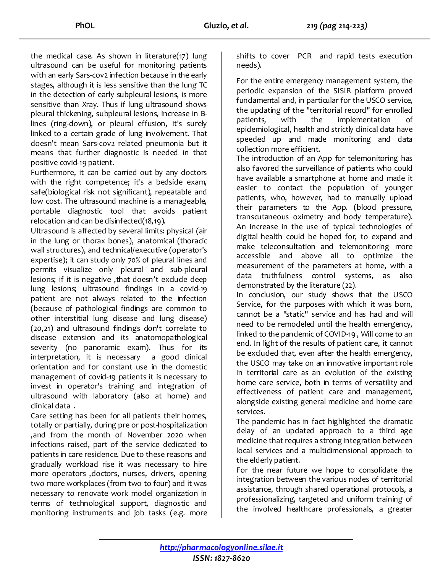the medical case. As shown in literature(17) lung ultrasound can be useful for monitoring patients with an early Sars-cov2 infection because in the early stages, although it is less sensitive than the lung TC in the detection of early subpleural lesions, is more sensitive than Xray. Thus if lung ultrasound shows pleural thickening, subpleural lesions, increase in Blines (ring-down), or pleural effusion, it's surely linked to a certain grade of lung involvement. That doesn't mean Sars-cov2 related pneumonia but it means that further diagnostic is needed in that positive covid-19 patient.

Furthermore, it can be carried out by any doctors with the right competence; it's a bedside exam, safe(biological risk not significant), repeatable and low cost. The ultrasound machine is a manageable, portable diagnostic tool that avoids patient relocation and can be disinfected(18,19).

Ultrasound is affected by several limits: physical (air in the lung or thorax bones), anatomical (thoracic wall structures), and technical/executive (operator's expertise); it can study only 70% of pleural lines and permits visualize only pleural and sub-pleural lesions; if it is negative, that doesn't exclude deep lung lesions; ultrasound findings in a covid-19 patient are not always related to the infection (because of pathological findings are common to other interstitial lung disease and lung disease) (20,21) and ultrasound findings don't correlate to disease extension and its anatomopathological severity (no panoramic exam). Thus for its interpretation, it is necessary a good clinical orientation and for constant use in the domestic management of covid-19 patients it is necessary to invest in operator's training and integration of ultrasound with laboratory (also at home) and clinical data .

Care setting has been for all patients their homes, totally or partially, during pre or post-hospitalization ,and from the month of November 2020 when infections raised, part of the service dedicated to patients in care residence. Due to these reasons and gradually workload rise it was necessary to hire more operators ,doctors, nurses, drivers, opening two more workplaces (from two to four) and it was necessary to renovate work model organization in terms of technological support, diagnostic and monitoring instruments and job tasks (e.g. more shifts to cover PCR and rapid tests execution needs).

For the entire emergency management system, the periodic expansion of the SISIR platform proved fundamental and, in particular for the USCO service, the updating of the "territorial record" for enrolled patients, with the implementation of epidemiological, health and strictly clinical data have speeded up and made monitoring and data collection more efficient.

The introduction of an App for telemonitoring has also favored the surveillance of patients who could have available a smartphone at home and made it easier to contact the population of younger patients, who, however, had to manually upload their parameters to the App. (blood pressure, transcutaneous oximetry and body temperature). An increase in the use of typical technologies of digital health could be hoped for, to expand and make teleconsultation and telemonitoring more accessible and above all to optimize the measurement of the parameters at home, with a data truthfulness control systems, as also demonstrated by the literature (22).

In conclusion, our study shows that the USCO Service, for the purposes with which it was born, cannot be a "static" service and has had and will need to be remodeled until the health emergency, linked to the pandemic of COVID-19 , Will come to an end. In light of the results of patient care, it cannot be excluded that, even after the health emergency, the USCO may take on an innovative important role in territorial care as an evolution of the existing home care service, both in terms of versatility and effectiveness of patient care and management, alongside existing general medicine and home care services.

The pandemic has in fact highlighted the dramatic delay of an updated approach to a third age medicine that requires a strong integration between local services and a multidimensional approach to the elderly patient.

For the near future we hope to consolidate the integration between the various nodes of territorial assistance, through shared operational protocols, a professionalizing, targeted and uniform training of the involved healthcare professionals, a greater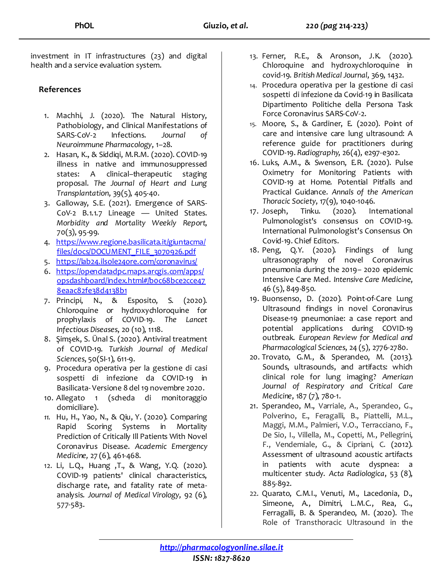investment in IT infrastructures (23) and digital health and a service evaluation system.

# **References**

- 1. Machhi, J. (2020). The Natural History, Pathobiology, and Clinical Manifestations of SARS-CoV-2 Infections. *Journal of Neuroimmune Pharmacology*, 1–28.
- 2. Hasan, K., & Siddiqi, M.R.M. (2020). COVID-19 illness in native and immunosuppressed states: A clinical–therapeutic staging proposal. *The Journal of Heart and Lung Transplantation*, 39(5), 405-40.
- 3. Galloway, S.E. (2021). Emergence of SARS-CoV-2 B.1.1.7 Lineage — United States. *Morbidity and Mortality Weekly Report*, 70(3), 95-99.
- 4. [https://www.regione.basilicata.it/giuntacma/](https://www.regione.basilicata.it/giuntacma/files/docs/DOCUMENT_FILE_3070926.pdf) [files/docs/DOCUMENT\\_FILE\\_3070926.pdf](https://www.regione.basilicata.it/giuntacma/files/docs/DOCUMENT_FILE_3070926.pdf)
- 5. <https://lab24.ilsole24ore.com/coronavirus/>
- 6. [https://opendatadpc.maps.arcgis.com/apps/](https://opendatadpc.maps.arcgis.com/apps/opsdashboard/index.html#/b0c68bce2cce478eaac82fe38d4138b1) [opsdashboard/index.html#/b0c68bce2cce47](https://opendatadpc.maps.arcgis.com/apps/opsdashboard/index.html#/b0c68bce2cce478eaac82fe38d4138b1) [8eaac82fe38d4138b1](https://opendatadpc.maps.arcgis.com/apps/opsdashboard/index.html#/b0c68bce2cce478eaac82fe38d4138b1)
- 7. Principi, N., & Esposito, S. (2020). Chloroquine or hydroxychloroquine for prophylaxis of COVID-19. *The Lancet Infectious Diseases*, 20 (10), 1118.
- 8. Şimşek, S. Ünal S. (2020). Antiviral treatment of COVID-19. *Turkish Journal of Medical Sciences*, 50(SI-1), 611-9.
- 9. Procedura operativa per la gestione di casi sospetti di infezione da COVID-19 in Basilicata- Versione 8 del 19 novembre 2020.
- 10. Allegato 1 (scheda di monitoraggio domiciliare).
- *11.* Hu, H., Yao, N., & Qiu, Y. (2020). Comparing Rapid Scoring Systems in Mortality Prediction of Critically Ill Patients With Novel Coronavirus Disease. *Academic Emergency Medicine,* 27 (6), 461-468.
- 12. Li, L.Q., Huang ,T., & Wang, Y.Q. (2020). COVID-19 patients' clinical characteristics, discharge rate, and fatality rate of metaanalysis. *Journal of Medical Virology*, 92 (6), 577-583.
- 13. Ferner, R.E., & Aronson, J.K. (2020). Chloroquine and hydroxychloroquine in covid-19. *British Medical Journal*, 369, 1432.
- 14. Procedura operativa per la gestione di casi sospetti di infezione da Covid-19 in Basilicata Dipartimento Politiche della Persona Task Force Coronavirus SARS-CoV-2.
- 15. Moore, S., & Gardiner, E. (2020). Point of care and intensive care lung ultrasound: A reference guide for practitioners during COVID-19. *Radiography*, 26(4), e297-e302.
- 16. Luks, A.M., & Swenson, E.R. (2020). Pulse Oximetry for Monitoring Patients with COVID-19 at Home. Potential Pitfalls and Practical Guidance. *Annals of the American Thoracic Society*, 17(9), 1040-1046.
- 17. Joseph, Tinku. (2020). International Pulmonologist's consensus on COVID-19. International Pulmonologist's Consensus On Covid-19. Chief Editors.
- 18. Peng, Q.Y. (2020). Findings of lung ultrasonography of novel Coronavirus pneumonia during the 2019– 2020 epidemic Intensive Care Med. *Intensive Care Medicine*, 46 (5), 849-850.
- 19. Buonsenso, D. (2020). Point-of-Care Lung Ultrasound findings in novel Coronavirus Disease-19 pneumoniae: a case report and potential applications during COVID-19 outbreak. *European Review for Medical and Pharmacological Sciences*, 24 (5), 2776-2780.
- 20. Trovato, G.M., & Sperandeo, M. (2013). Sounds, ultrasounds, and artifacts: which clinical role for lung imaging? *American Journal of Respiratory and Critical Care Medicine*, 187 (7), 780-1.
- 21. Sperandeo, M., Varriale, A., Sperandeo, G., Polverino, E., Feragalli, B., Piattelli, M.L., Maggi, M.M., Palmieri, V.O., Terracciano, F., De Sio, I., Villella, M., Copetti, M., Pellegrini, F., Vendemiale, G., & Cipriani, C. (2012). Assessment of ultrasound acoustic artifacts in patients with acute dyspnea: a multicenter study. *Acta Radiologica*, 53 (8), 885-892.
- 22. Quarato, C.M.I., Venuti, M., Lacedonia, D., Simeone, A., Dimitri, L.M.C., Rea, G., Ferragalli, B. & Sperandeo, M. (2020). The Role of Transthoracic Ultrasound in the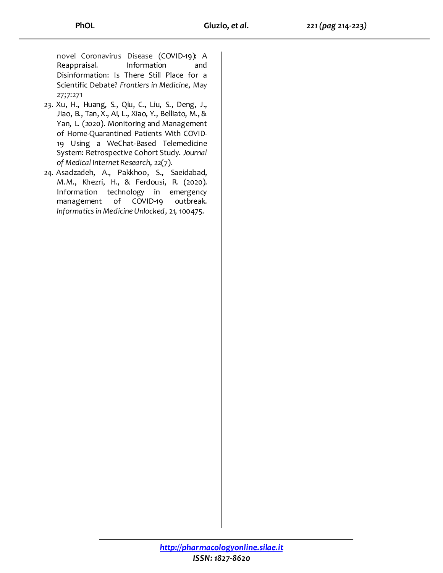novel Coronavirus Disease (COVID-19): A Reappraisal. Information and Disinformation: Is There Still Place for a Scientific Debate? *Frontiers in Medicine*, May 27;7:271

- 23. Xu, H., Huang, S., Qiu, C., Liu, S., Deng, J., Jiao, B., Tan, X., Ai, L., Xiao, Y., Belliato, M., & Yan, L. (2020). Monitoring and Management of Home-Quarantined Patients With COVID-19 Using a WeChat-Based Telemedicine System: Retrospective Cohort Study. *Journal of Medical Internet Research*, 22(7).
- 24. Asadzadeh, A., Pakkhoo, S., Saeidabad, M.M., Khezri, H., & Ferdousi, R. (2020). Information technology in emergency management of COVID-19 outbreak. *Informatics in Medicine Unlocked*, 21, 100475.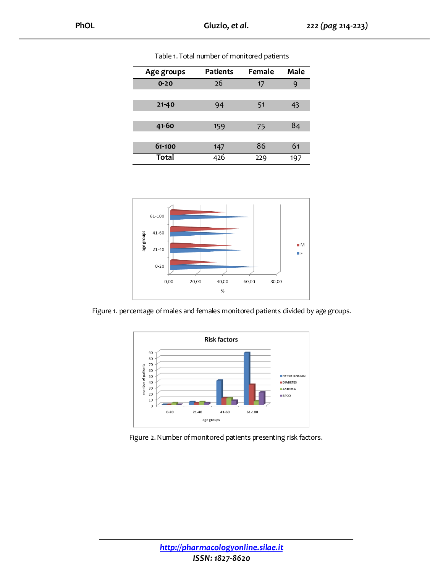| Age groups | <b>Patients</b> | Female | Male |
|------------|-----------------|--------|------|
| $0 - 20$   | 26              | 17     | 9    |
|            |                 |        |      |
| $21 - 40$  | 94              | 51     | 43   |
|            |                 |        |      |
| 41-60      | 159             | 75     | 84   |
|            |                 |        |      |
| 61-100     | 147             | 86     | 61   |
| Total      | 426             | 229    | 197  |

Table 1. Total number of monitored patients



Figure 1. percentage of males and females monitored patients divided by age groups.



Figure 2. Number of monitored patients presenting risk factors.